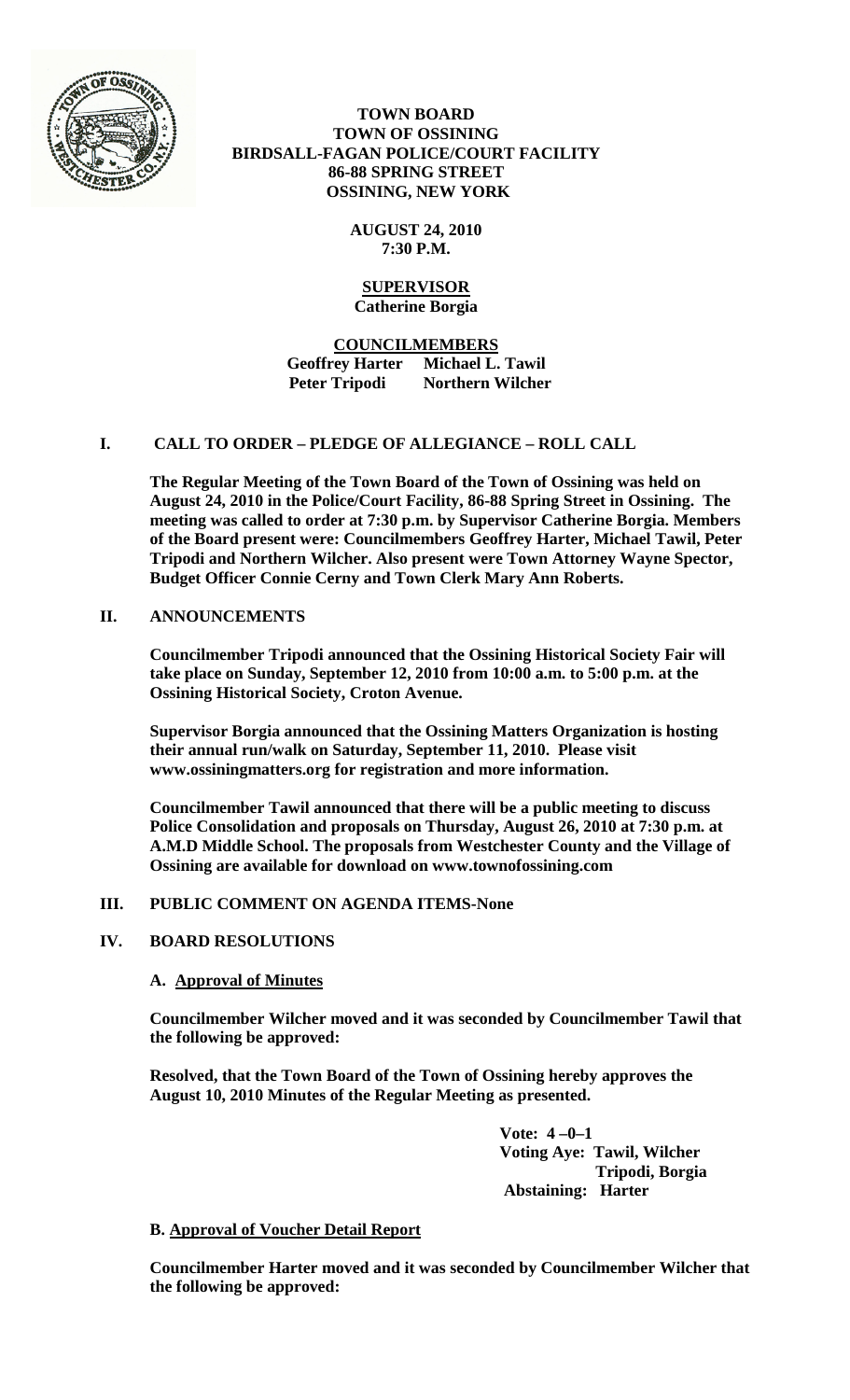

# **TOWN BOARD TOWN OF OSSINING BIRDSALL-FAGAN POLICE/COURT FACILITY 86-88 SPRING STREET OSSINING, NEW YORK**

**AUGUST 24, 2010 7:30 P.M.**

# **SUPERVISOR Catherine Borgia**

**COUNCILMEMBERS Geoffrey Harter Michael L. Tawil Peter Tripodi Northern Wilcher**

# **I. CALL TO ORDER – PLEDGE OF ALLEGIANCE – ROLL CALL**

**The Regular Meeting of the Town Board of the Town of Ossining was held on August 24, 2010 in the Police/Court Facility, 86-88 Spring Street in Ossining. The meeting was called to order at 7:30 p.m. by Supervisor Catherine Borgia. Members of the Board present were: Councilmembers Geoffrey Harter, Michael Tawil, Peter Tripodi and Northern Wilcher. Also present were Town Attorney Wayne Spector, Budget Officer Connie Cerny and Town Clerk Mary Ann Roberts.**

# **II. ANNOUNCEMENTS**

**Councilmember Tripodi announced that the Ossining Historical Society Fair will take place on Sunday, September 12, 2010 from 10:00 a.m. to 5:00 p.m. at the Ossining Historical Society, Croton Avenue.**

**Supervisor Borgia announced that the Ossining Matters Organization is hosting their annual run/walk on Saturday, September 11, 2010. Please visit www.ossiningmatters.org for registration and more information.**

**Councilmember Tawil announced that there will be a public meeting to discuss Police Consolidation and proposals on Thursday, August 26, 2010 at 7:30 p.m. at A.M.D Middle School. The proposals from Westchester County and the Village of Ossining are available for download on www.townofossining.com** 

# **III. PUBLIC COMMENT ON AGENDA ITEMS-None**

# **IV. BOARD RESOLUTIONS**

# **A. Approval of Minutes**

**Councilmember Wilcher moved and it was seconded by Councilmember Tawil that the following be approved:**

**Resolved, that the Town Board of the Town of Ossining hereby approves the August 10, 2010 Minutes of the Regular Meeting as presented.**

> **Vote: 4 –0–1 Voting Aye: Tawil, Wilcher Tripodi, Borgia Abstaining: Harter**

# **B. Approval of Voucher Detail Report**

**Councilmember Harter moved and it was seconded by Councilmember Wilcher that the following be approved:**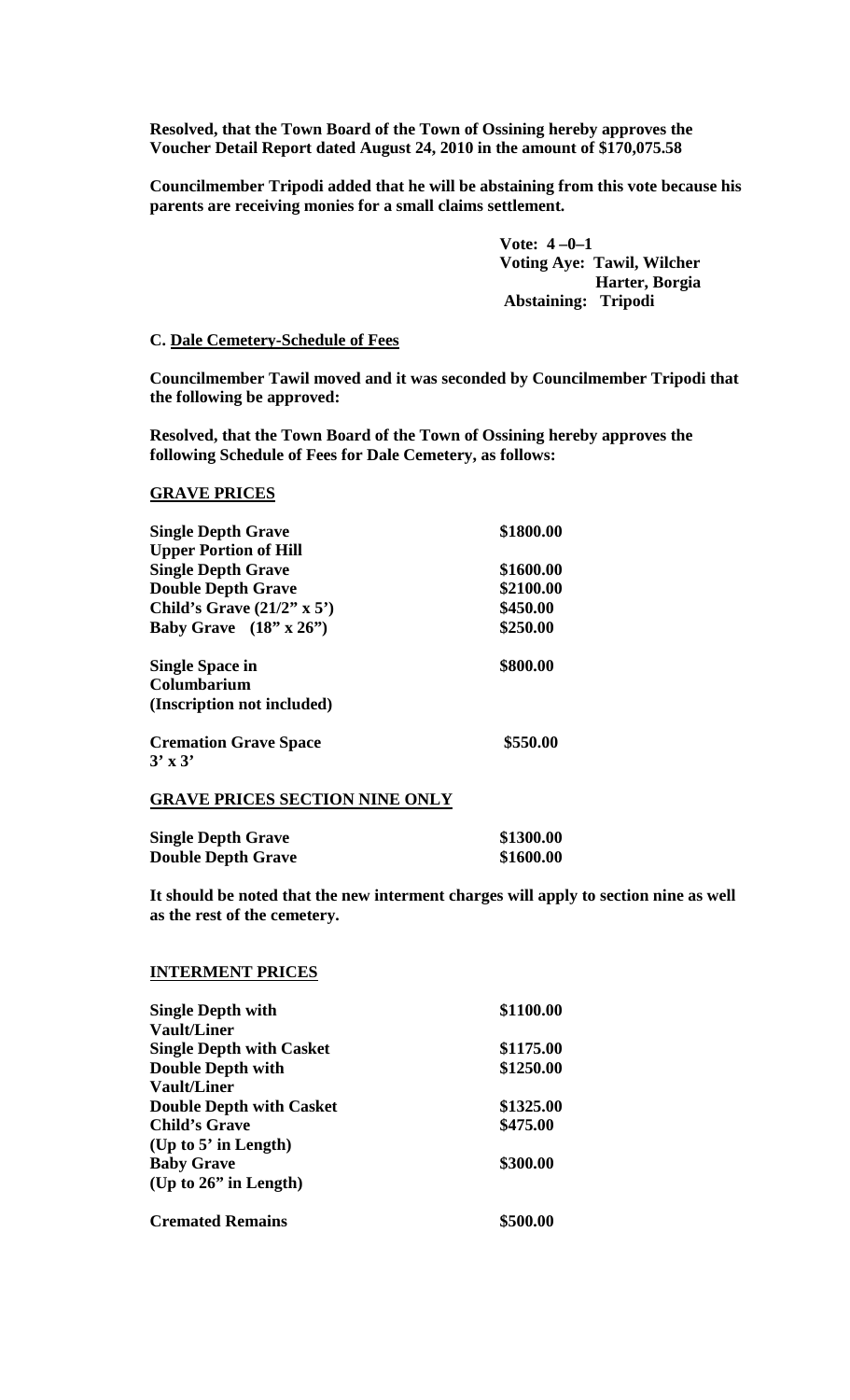**Resolved, that the Town Board of the Town of Ossining hereby approves the Voucher Detail Report dated August 24, 2010 in the amount of \$170,075.58**

**Councilmember Tripodi added that he will be abstaining from this vote because his parents are receiving monies for a small claims settlement.** 

> **Vote: 4 –0–1 Voting Aye: Tawil, Wilcher Harter, Borgia Abstaining: Tripodi**

## **C. Dale Cemetery-Schedule of Fees**

**Councilmember Tawil moved and it was seconded by Councilmember Tripodi that the following be approved:**

**Resolved, that the Town Board of the Town of Ossining hereby approves the following Schedule of Fees for Dale Cemetery, as follows:**

## **GRAVE PRICES**

| <b>Single Depth Grave</b>         | \$1800.00 |
|-----------------------------------|-----------|
| <b>Upper Portion of Hill</b>      |           |
| <b>Single Depth Grave</b>         | \$1600.00 |
| <b>Double Depth Grave</b>         | \$2100.00 |
| Child's Grave $(21/2" \times 5")$ | \$450.00  |
| Baby Grave $(18" \times 26")$     | \$250.00  |
| <b>Single Space in</b>            | \$800.00  |
| Columbarium                       |           |
| (Inscription not included)        |           |
| <b>Cremation Grave Space</b>      | \$550.00  |
| $3'$ x $3'$                       |           |

## **GRAVE PRICES SECTION NINE ONLY**

| <b>Single Depth Grave</b> | \$1300.00 |
|---------------------------|-----------|
| <b>Double Depth Grave</b> | \$1600.00 |

**It should be noted that the new interment charges will apply to section nine as well as the rest of the cemetery.**

#### **INTERMENT PRICES**

| <b>Single Depth with</b>        | \$1100.00 |
|---------------------------------|-----------|
| <b>Vault/Liner</b>              |           |
| <b>Single Depth with Casket</b> | \$1175.00 |
| <b>Double Depth with</b>        | \$1250.00 |
| <b>Vault/Liner</b>              |           |
| <b>Double Depth with Casket</b> | \$1325.00 |
| <b>Child's Grave</b>            | \$475.00  |
| (Up to $5'$ in Length)          |           |
| <b>Baby Grave</b>               | \$300.00  |
| (Up to $26$ " in Length)        |           |
| <b>Cremated Remains</b>         | \$500.00  |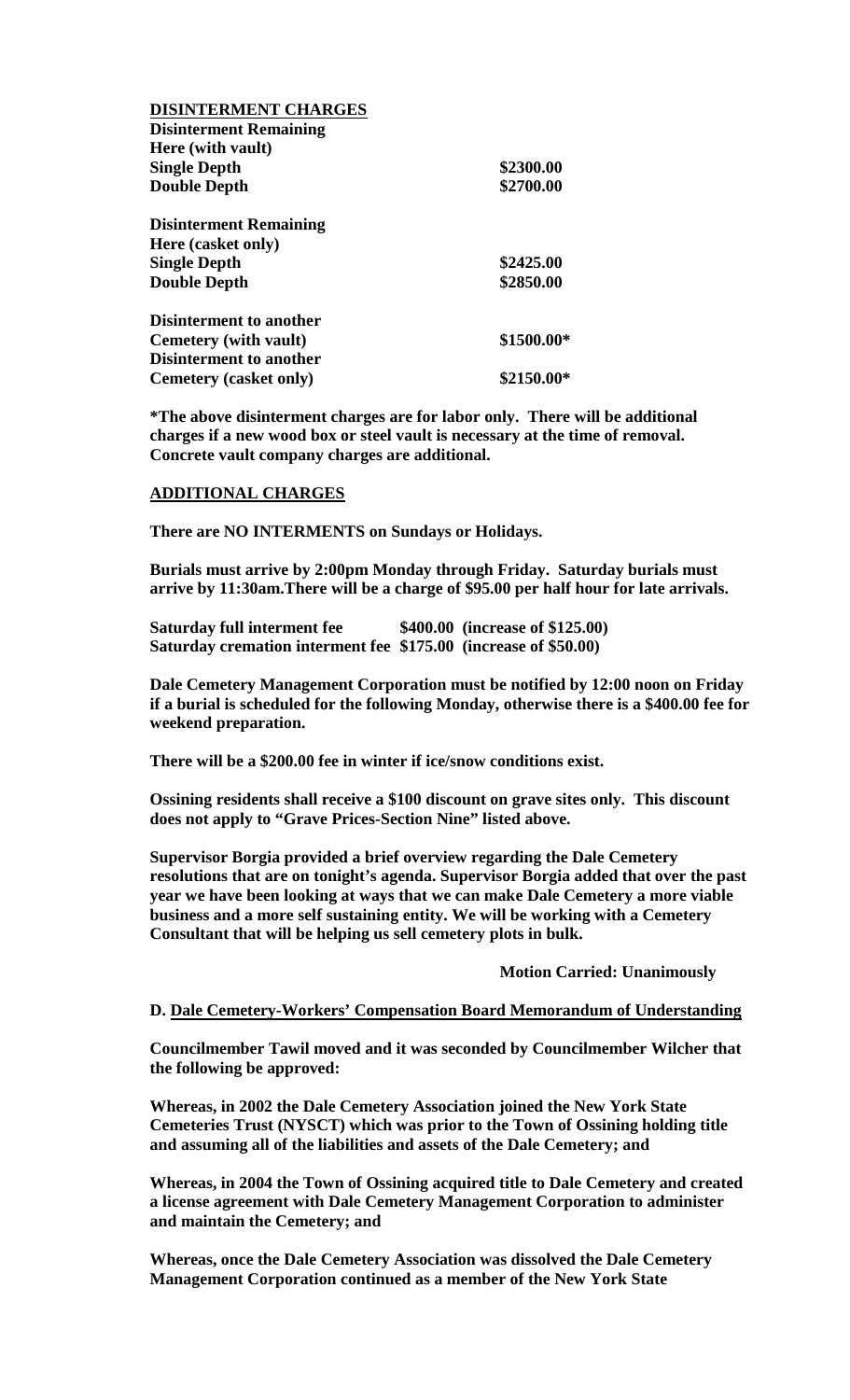| <b>DISINTERMENT CHARGES</b>    |            |
|--------------------------------|------------|
| <b>Disinterment Remaining</b>  |            |
| Here (with vault)              |            |
| <b>Single Depth</b>            | \$2300.00  |
| <b>Double Depth</b>            | \$2700.00  |
| <b>Disinterment Remaining</b>  |            |
| Here (casket only)             |            |
| <b>Single Depth</b>            | \$2425.00  |
| <b>Double Depth</b>            | \$2850.00  |
| <b>Disinterment to another</b> |            |
| Cemetery (with vault)          | \$1500.00* |
| <b>Disinterment to another</b> |            |
| Cemetery (casket only)         | \$2150.00* |

**\*The above disinterment charges are for labor only. There will be additional charges if a new wood box or steel vault is necessary at the time of removal. Concrete vault company charges are additional.**

## **ADDITIONAL CHARGES**

**There are NO INTERMENTS on Sundays or Holidays.**

**Burials must arrive by 2:00pm Monday through Friday. Saturday burials must arrive by 11:30am.There will be a charge of \$95.00 per half hour for late arrivals.** 

**Saturday full interment fee \$400.00 (increase of \$125.00) Saturday cremation interment fee \$175.00 (increase of \$50.00)**

**Dale Cemetery Management Corporation must be notified by 12:00 noon on Friday if a burial is scheduled for the following Monday, otherwise there is a \$400.00 fee for weekend preparation.** 

**There will be a \$200.00 fee in winter if ice/snow conditions exist.**

**Ossining residents shall receive a \$100 discount on grave sites only. This discount does not apply to "Grave Prices-Section Nine" listed above.**

**Supervisor Borgia provided a brief overview regarding the Dale Cemetery resolutions that are on tonight's agenda. Supervisor Borgia added that over the past year we have been looking at ways that we can make Dale Cemetery a more viable business and a more self sustaining entity. We will be working with a Cemetery Consultant that will be helping us sell cemetery plots in bulk.**

**Motion Carried: Unanimously**

#### **D. Dale Cemetery-Workers' Compensation Board Memorandum of Understanding**

**Councilmember Tawil moved and it was seconded by Councilmember Wilcher that the following be approved:**

**Whereas, in 2002 the Dale Cemetery Association joined the New York State Cemeteries Trust (NYSCT) which was prior to the Town of Ossining holding title and assuming all of the liabilities and assets of the Dale Cemetery; and**

**Whereas, in 2004 the Town of Ossining acquired title to Dale Cemetery and created a license agreement with Dale Cemetery Management Corporation to administer and maintain the Cemetery; and**

**Whereas, once the Dale Cemetery Association was dissolved the Dale Cemetery Management Corporation continued as a member of the New York State**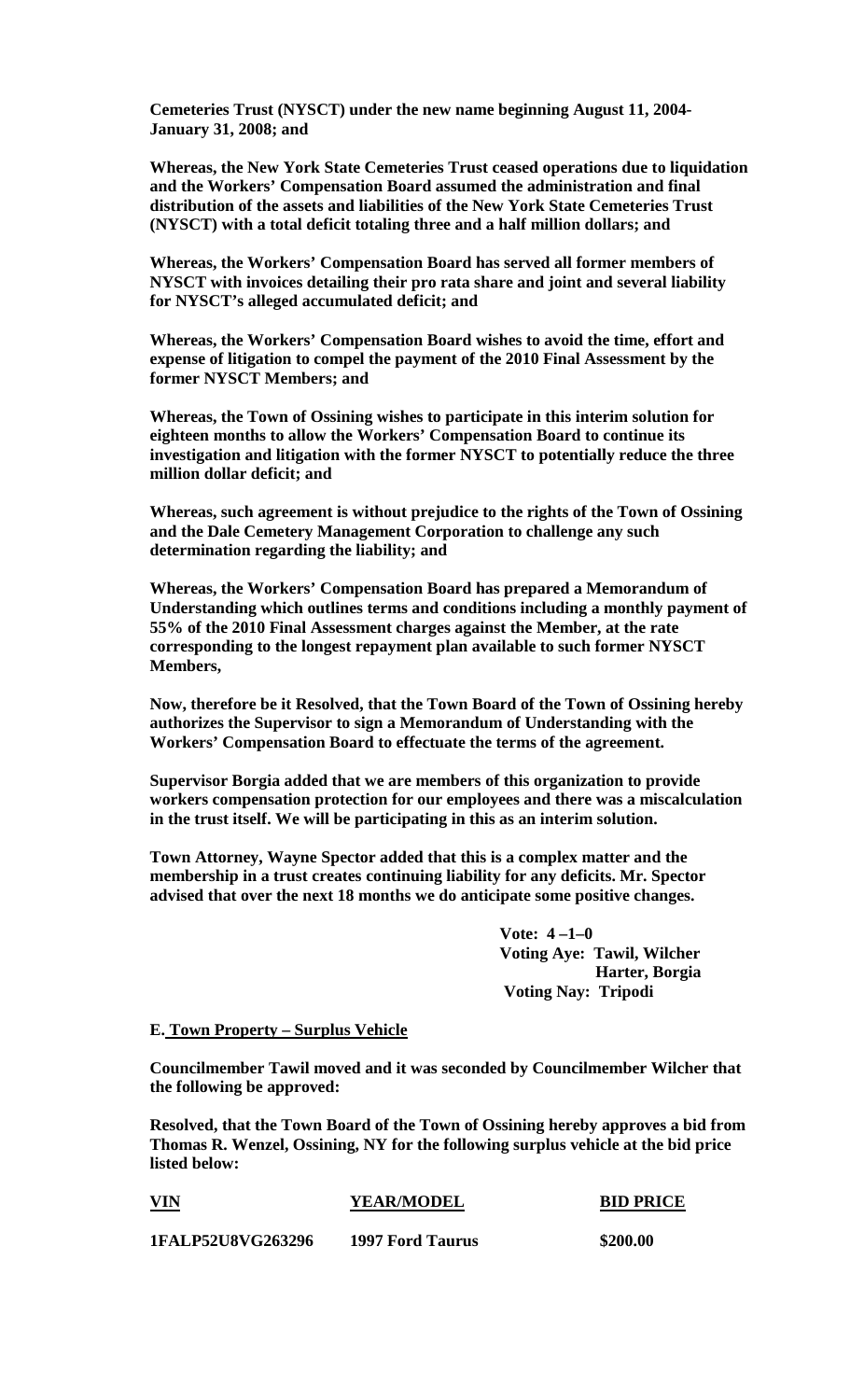**Cemeteries Trust (NYSCT) under the new name beginning August 11, 2004- January 31, 2008; and**

**Whereas, the New York State Cemeteries Trust ceased operations due to liquidation and the Workers' Compensation Board assumed the administration and final distribution of the assets and liabilities of the New York State Cemeteries Trust (NYSCT) with a total deficit totaling three and a half million dollars; and**

**Whereas, the Workers' Compensation Board has served all former members of NYSCT with invoices detailing their pro rata share and joint and several liability for NYSCT's alleged accumulated deficit; and**

**Whereas, the Workers' Compensation Board wishes to avoid the time, effort and expense of litigation to compel the payment of the 2010 Final Assessment by the former NYSCT Members; and**

**Whereas, the Town of Ossining wishes to participate in this interim solution for eighteen months to allow the Workers' Compensation Board to continue its investigation and litigation with the former NYSCT to potentially reduce the three million dollar deficit; and**

**Whereas, such agreement is without prejudice to the rights of the Town of Ossining and the Dale Cemetery Management Corporation to challenge any such determination regarding the liability; and** 

**Whereas, the Workers' Compensation Board has prepared a Memorandum of Understanding which outlines terms and conditions including a monthly payment of 55% of the 2010 Final Assessment charges against the Member, at the rate corresponding to the longest repayment plan available to such former NYSCT Members,**

**Now, therefore be it Resolved, that the Town Board of the Town of Ossining hereby authorizes the Supervisor to sign a Memorandum of Understanding with the Workers' Compensation Board to effectuate the terms of the agreement.** 

**Supervisor Borgia added that we are members of this organization to provide workers compensation protection for our employees and there was a miscalculation in the trust itself. We will be participating in this as an interim solution.**

**Town Attorney, Wayne Spector added that this is a complex matter and the membership in a trust creates continuing liability for any deficits. Mr. Spector advised that over the next 18 months we do anticipate some positive changes.**

> **Vote: 4 –1–0 Voting Aye: Tawil, Wilcher Harter, Borgia Voting Nay: Tripodi**

#### **E. Town Property – Surplus Vehicle**

**Councilmember Tawil moved and it was seconded by Councilmember Wilcher that the following be approved:**

**Resolved, that the Town Board of the Town of Ossining hereby approves a bid from Thomas R. Wenzel, Ossining, NY for the following surplus vehicle at the bid price listed below:**

| <b>VIN</b>               | <b>YEAR/MODEL</b>       | <b>BID PRICE</b> |  |
|--------------------------|-------------------------|------------------|--|
| <b>1FALP52U8VG263296</b> | <b>1997 Ford Taurus</b> | \$200.00         |  |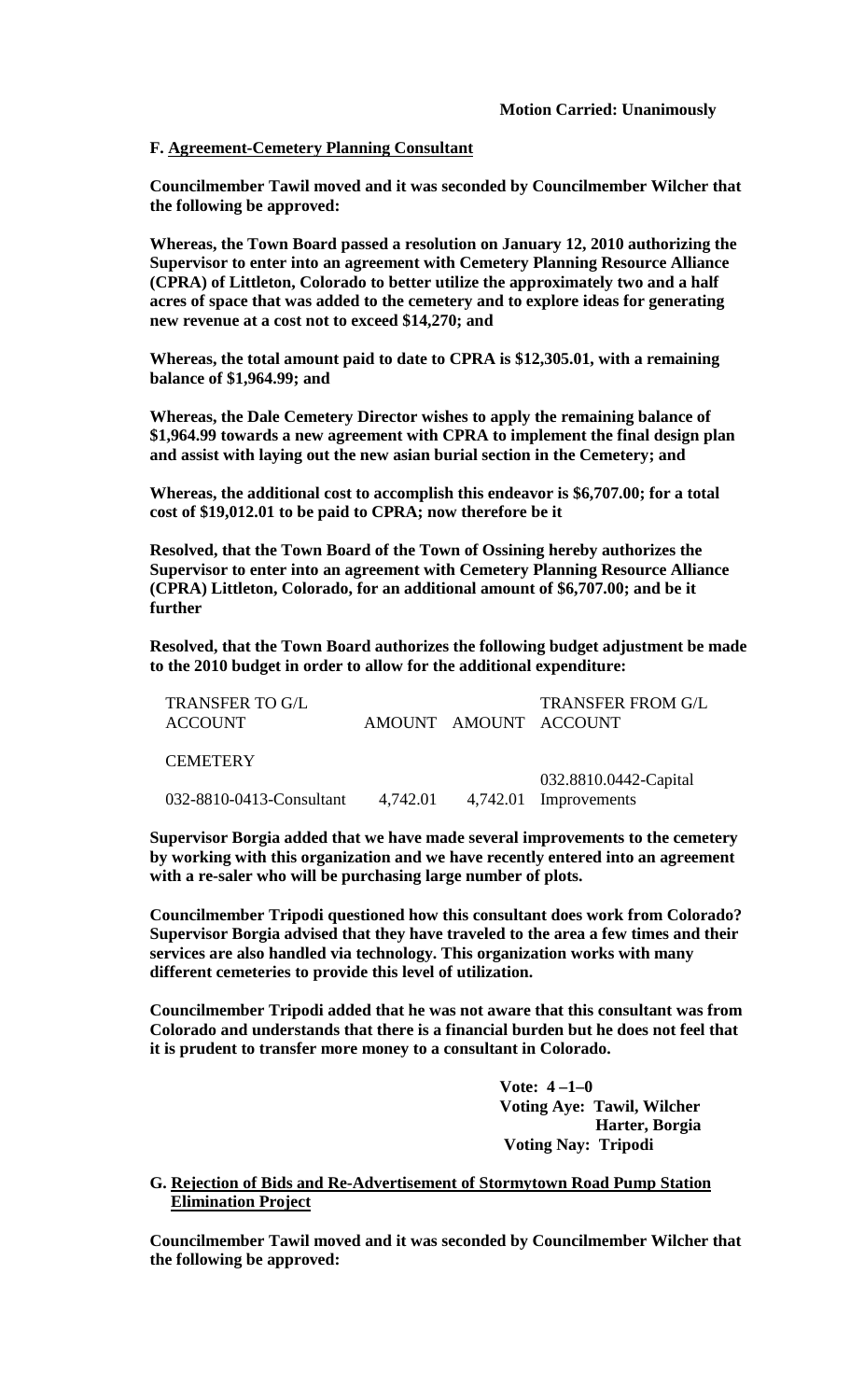# **F. Agreement-Cemetery Planning Consultant**

**Councilmember Tawil moved and it was seconded by Councilmember Wilcher that the following be approved:**

**Whereas, the Town Board passed a resolution on January 12, 2010 authorizing the Supervisor to enter into an agreement with Cemetery Planning Resource Alliance (CPRA) of Littleton, Colorado to better utilize the approximately two and a half acres of space that was added to the cemetery and to explore ideas for generating new revenue at a cost not to exceed \$14,270; and**

**Whereas, the total amount paid to date to CPRA is \$12,305.01, with a remaining balance of \$1,964.99; and**

**Whereas, the Dale Cemetery Director wishes to apply the remaining balance of \$1,964.99 towards a new agreement with CPRA to implement the final design plan and assist with laying out the new asian burial section in the Cemetery; and**

**Whereas, the additional cost to accomplish this endeavor is \$6,707.00; for a total cost of \$19,012.01 to be paid to CPRA; now therefore be it**

**Resolved, that the Town Board of the Town of Ossining hereby authorizes the Supervisor to enter into an agreement with Cemetery Planning Resource Alliance (CPRA) Littleton, Colorado, for an additional amount of \$6,707.00; and be it further**

**Resolved, that the Town Board authorizes the following budget adjustment be made to the 2010 budget in order to allow for the additional expenditure:**

| TRANSFER TO G/L<br><b>ACCOUNT</b> |  | <b>TRANSFER FROM G/L</b><br>AMOUNT AMOUNT ACCOUNT           |
|-----------------------------------|--|-------------------------------------------------------------|
| <b>CEMETERY</b>                   |  |                                                             |
| 032-8810-0413-Consultant          |  | 032.8810.0442-Capital<br>$4,742.01$ $4,742.01$ Improvements |

**Supervisor Borgia added that we have made several improvements to the cemetery by working with this organization and we have recently entered into an agreement with a re-saler who will be purchasing large number of plots.**

**Councilmember Tripodi questioned how this consultant does work from Colorado? Supervisor Borgia advised that they have traveled to the area a few times and their services are also handled via technology. This organization works with many different cemeteries to provide this level of utilization.** 

**Councilmember Tripodi added that he was not aware that this consultant was from Colorado and understands that there is a financial burden but he does not feel that it is prudent to transfer more money to a consultant in Colorado.**

> **Vote: 4 –1–0 Voting Aye: Tawil, Wilcher Harter, Borgia Voting Nay: Tripodi**

**G. Rejection of Bids and Re-Advertisement of Stormytown Road Pump Station Elimination Project**

**Councilmember Tawil moved and it was seconded by Councilmember Wilcher that the following be approved:**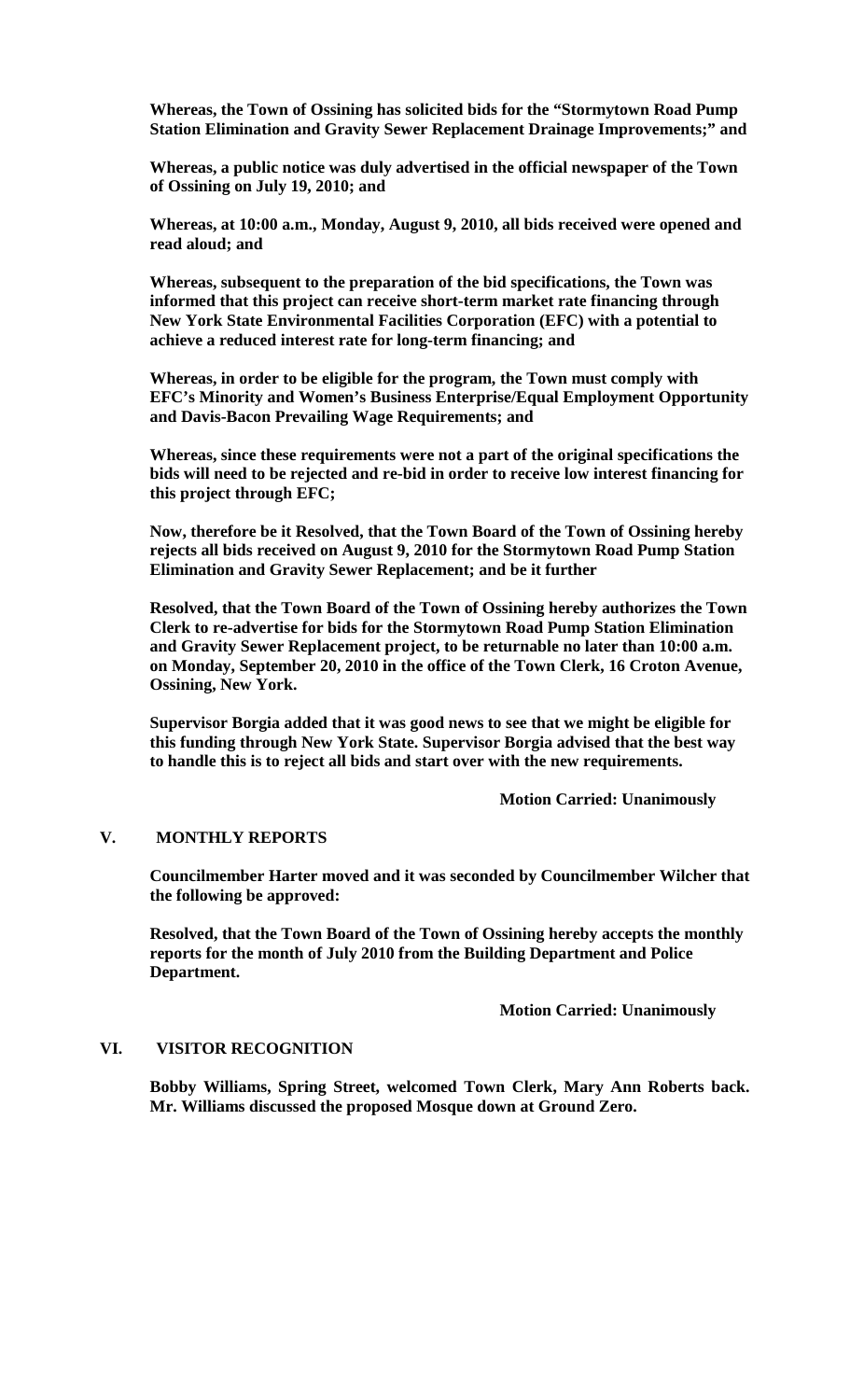**Whereas, the Town of Ossining has solicited bids for the "Stormytown Road Pump Station Elimination and Gravity Sewer Replacement Drainage Improvements;" and**

**Whereas, a public notice was duly advertised in the official newspaper of the Town of Ossining on July 19, 2010; and**

**Whereas, at 10:00 a.m., Monday, August 9, 2010, all bids received were opened and read aloud; and**

**Whereas, subsequent to the preparation of the bid specifications, the Town was informed that this project can receive short-term market rate financing through New York State Environmental Facilities Corporation (EFC) with a potential to achieve a reduced interest rate for long-term financing; and**

**Whereas, in order to be eligible for the program, the Town must comply with EFC's Minority and Women's Business Enterprise/Equal Employment Opportunity and Davis-Bacon Prevailing Wage Requirements; and**

**Whereas, since these requirements were not a part of the original specifications the bids will need to be rejected and re-bid in order to receive low interest financing for this project through EFC;** 

**Now, therefore be it Resolved, that the Town Board of the Town of Ossining hereby rejects all bids received on August 9, 2010 for the Stormytown Road Pump Station Elimination and Gravity Sewer Replacement; and be it further**

**Resolved, that the Town Board of the Town of Ossining hereby authorizes the Town Clerk to re-advertise for bids for the Stormytown Road Pump Station Elimination and Gravity Sewer Replacement project, to be returnable no later than 10:00 a.m. on Monday, September 20, 2010 in the office of the Town Clerk, 16 Croton Avenue, Ossining, New York.**

**Supervisor Borgia added that it was good news to see that we might be eligible for this funding through New York State. Supervisor Borgia advised that the best way to handle this is to reject all bids and start over with the new requirements.**

**Motion Carried: Unanimously**

## **V. MONTHLY REPORTS**

**Councilmember Harter moved and it was seconded by Councilmember Wilcher that the following be approved:**

**Resolved, that the Town Board of the Town of Ossining hereby accepts the monthly reports for the month of July 2010 from the Building Department and Police Department.**

**Motion Carried: Unanimously**

#### **VI. VISITOR RECOGNITION**

**Bobby Williams, Spring Street, welcomed Town Clerk, Mary Ann Roberts back. Mr. Williams discussed the proposed Mosque down at Ground Zero.**